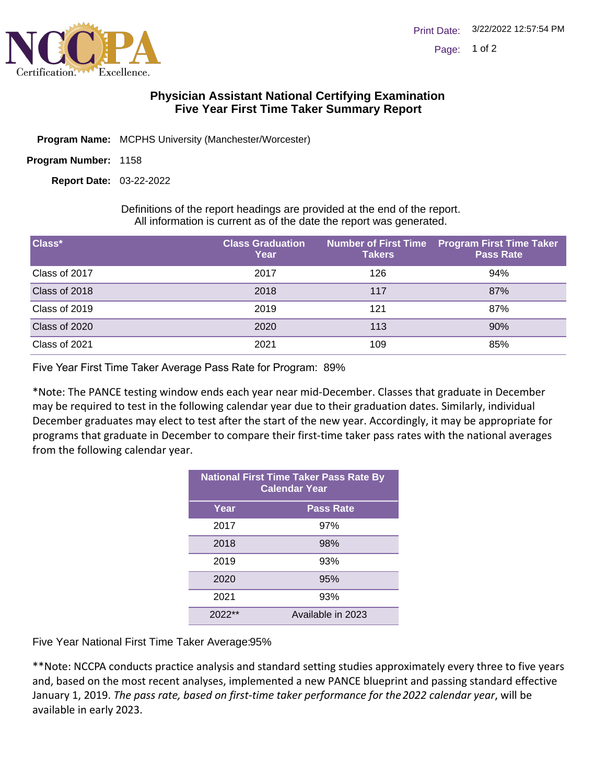

## **Physician Assistant National Certifying Examination Five Year First Time Taker Summary Report**

- Program Name: MCPHS University (Manchester/Worcester)
- Program Number: 1158

03-22-2022 **Report Date:**

Definitions of the report headings are provided at the end of the report. All information is current as of the date the report was generated.

| Class*        | <b>Class Graduation</b><br>Year | <b>Takers</b> | Number of First Time Program First Time Taker<br><b>Pass Rate</b> |
|---------------|---------------------------------|---------------|-------------------------------------------------------------------|
| Class of 2017 | 2017                            | 126           | 94%                                                               |
| Class of 2018 | 2018                            | 117           | 87%                                                               |
| Class of 2019 | 2019                            | 121           | 87%                                                               |
| Class of 2020 | 2020                            | 113           | 90%                                                               |
| Class of 2021 | 2021                            | 109           | 85%                                                               |

Five Year First Time Taker Average Pass Rate for Program: 89%

\*Note: The PANCE testing window ends each year near mid-December. Classes that graduate in December may be required to test in the following calendar year due to their graduation dates. Similarly, individual December graduates may elect to test after the start of the new year. Accordingly, it may be appropriate for programs that graduate in December to compare their first-time taker pass rates with the national averages from the following calendar year.

| <b>National First Time Taker Pass Rate By</b><br><b>Calendar Year</b> |                   |  |
|-----------------------------------------------------------------------|-------------------|--|
| Year                                                                  | <b>Pass Rate</b>  |  |
| 2017                                                                  | 97%               |  |
| 2018                                                                  | 98%               |  |
| 2019                                                                  | 93%               |  |
| 2020                                                                  | 95%               |  |
| 2021                                                                  | 93%               |  |
| $2022**$                                                              | Available in 2023 |  |

Five Year National First Time Taker Average: 95%

\*\*Note: NCCPA conducts practice analysis and standard setting studies approximately every three to five years and, based on the most recent analyses, implemented a new PANCE blueprint and passing standard effective January 1, 2019. *The pass rate, based on first-time taker performance for the 2022 calendar year*, will be available in early 2023.